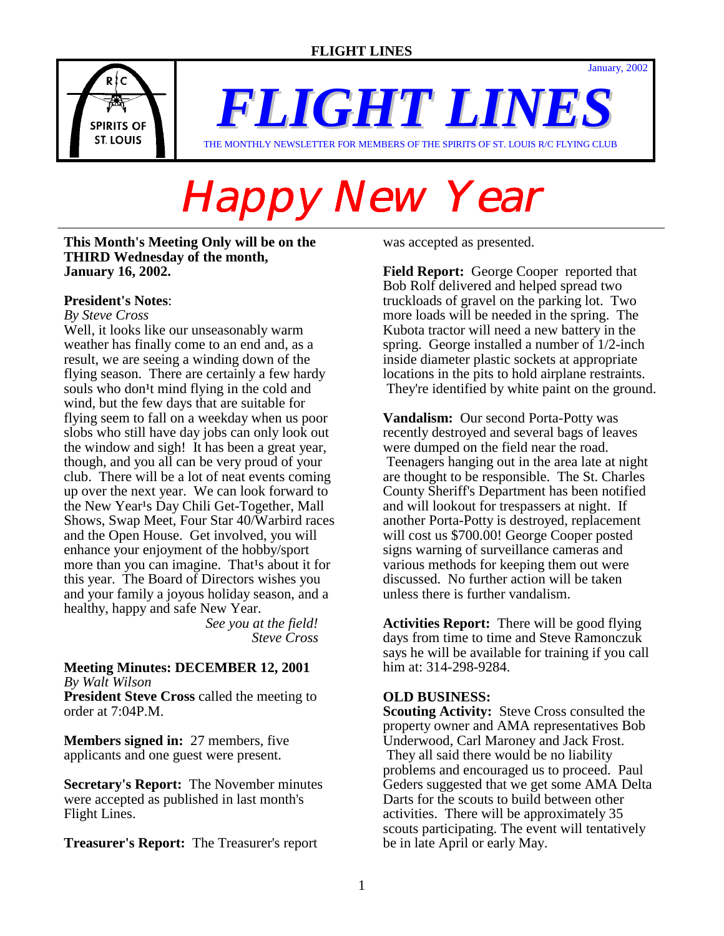

*FLIGHT LINES* THE MONTHLY NEWSLETTER FOR MEMBERS OF THE SPIRITS OF ST. LOUIS R/C FLYING CLUB

# Happy New Year

**This Month's Meeting Only will be on the THIRD Wednesday of the month, January 16, 2002.** 

## **President's Notes**:

#### *By Steve Cross*

Well, it looks like our unseasonably warm weather has finally come to an end and, as a result, we are seeing a winding down of the flying season. There are certainly a few hardy souls who don<sup>1</sup>t mind flying in the cold and wind, but the few days that are suitable for flying seem to fall on a weekday when us poor slobs who still have day jobs can only look out the window and sigh! It has been a great year, though, and you all can be very proud of your club. There will be a lot of neat events coming up over the next year. We can look forward to the New Year<sup>1</sup>s Day Chili Get-Together, Mall Shows, Swap Meet, Four Star 40/Warbird races and the Open House. Get involved, you will enhance your enjoyment of the hobby/sport more than you can imagine. That<sup>1</sup>s about it for this year. The Board of Directors wishes you and your family a joyous holiday season, and a healthy, happy and safe New Year.

 *See you at the field! Steve Cross*

#### **Meeting Minutes: DECEMBER 12, 2001**  *By Walt Wilson*

**President Steve Cross** called the meeting to order at 7:04P.M.

**Members signed in:** 27 members, five applicants and one guest were present.

**Secretary's Report:** The November minutes were accepted as published in last month's Flight Lines.

**Treasurer's Report:** The Treasurer's report

was accepted as presented.

**Field Report:** George Cooper reported that Bob Rolf delivered and helped spread two truckloads of gravel on the parking lot. Two more loads will be needed in the spring. The Kubota tractor will need a new battery in the spring. George installed a number of 1/2-inch inside diameter plastic sockets at appropriate locations in the pits to hold airplane restraints. They're identified by white paint on the ground.

January, 2002

**Vandalism:** Our second Porta-Potty was recently destroyed and several bags of leaves were dumped on the field near the road. Teenagers hanging out in the area late at night are thought to be responsible. The St. Charles County Sheriff's Department has been notified and will lookout for trespassers at night. If another Porta-Potty is destroyed, replacement will cost us \$700.00! George Cooper posted signs warning of surveillance cameras and various methods for keeping them out were discussed. No further action will be taken unless there is further vandalism.

**Activities Report:** There will be good flying days from time to time and Steve Ramonczuk says he will be available for training if you call him at: 314-298-9284.

## **OLD BUSINESS:**

**Scouting Activity:** Steve Cross consulted the property owner and AMA representatives Bob Underwood, Carl Maroney and Jack Frost. They all said there would be no liability problems and encouraged us to proceed. Paul Geders suggested that we get some AMA Delta Darts for the scouts to build between other activities. There will be approximately 35 scouts participating. The event will tentatively be in late April or early May.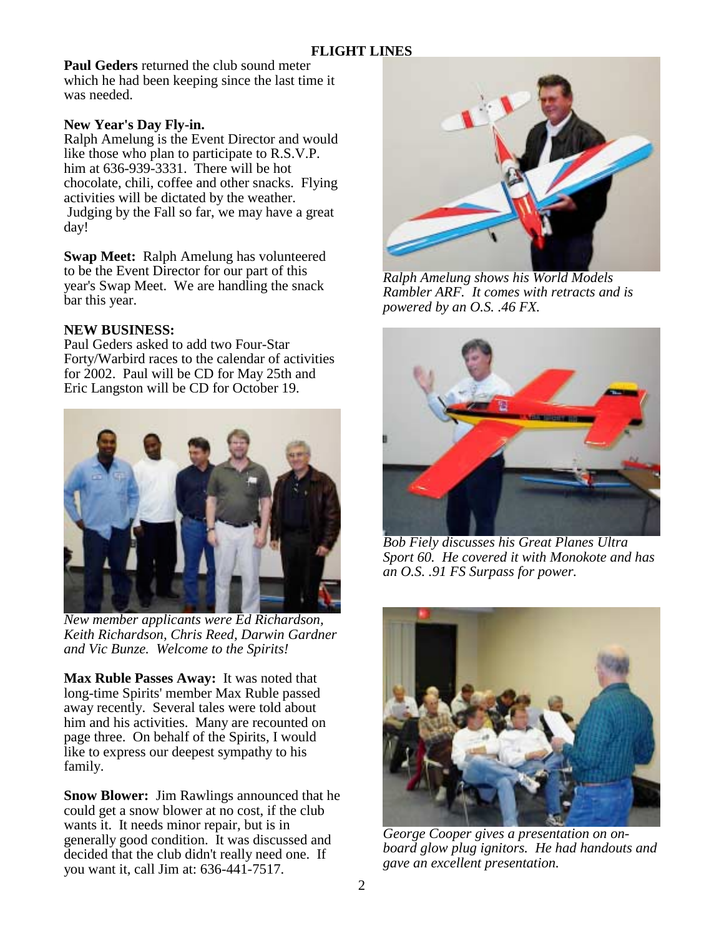**Paul Geders** returned the club sound meter which he had been keeping since the last time it was needed.

# **New Year's Day Fly-in.**

Ralph Amelung is the Event Director and would like those who plan to participate to R.S.V.P. him at 636-939-3331. There will be hot chocolate, chili, coffee and other snacks. Flying activities will be dictated by the weather. Judging by the Fall so far, we may have a great day!

**Swap Meet:** Ralph Amelung has volunteered to be the Event Director for our part of this year's Swap Meet. We are handling the snack bar this year.

# **NEW BUSINESS:**

Paul Geders asked to add two Four-Star Forty/Warbird races to the calendar of activities for 2002. Paul will be CD for May 25th and Eric Langston will be CD for October 19.



*New member applicants were Ed Richardson, Keith Richardson, Chris Reed, Darwin Gardner and Vic Bunze. Welcome to the Spirits!* 

**Max Ruble Passes Away:** It was noted that long-time Spirits' member Max Ruble passed away recently. Several tales were told about him and his activities. Many are recounted on page three. On behalf of the Spirits, I would like to express our deepest sympathy to his family.

**Snow Blower:** Jim Rawlings announced that he could get a snow blower at no cost, if the club wants it. It needs minor repair, but is in generally good condition. It was discussed and decided that the club didn't really need one. If you want it, call Jim at: 636-441-7517.



*Ralph Amelung shows his World Models Rambler ARF. It comes with retracts and is powered by an O.S. .46 FX.* 



*Bob Fiely discusses his Great Planes Ultra Sport 60. He covered it with Monokote and has an O.S. .91 FS Surpass for power.* 



*George Cooper gives a presentation on onboard glow plug ignitors. He had handouts and gave an excellent presentation.*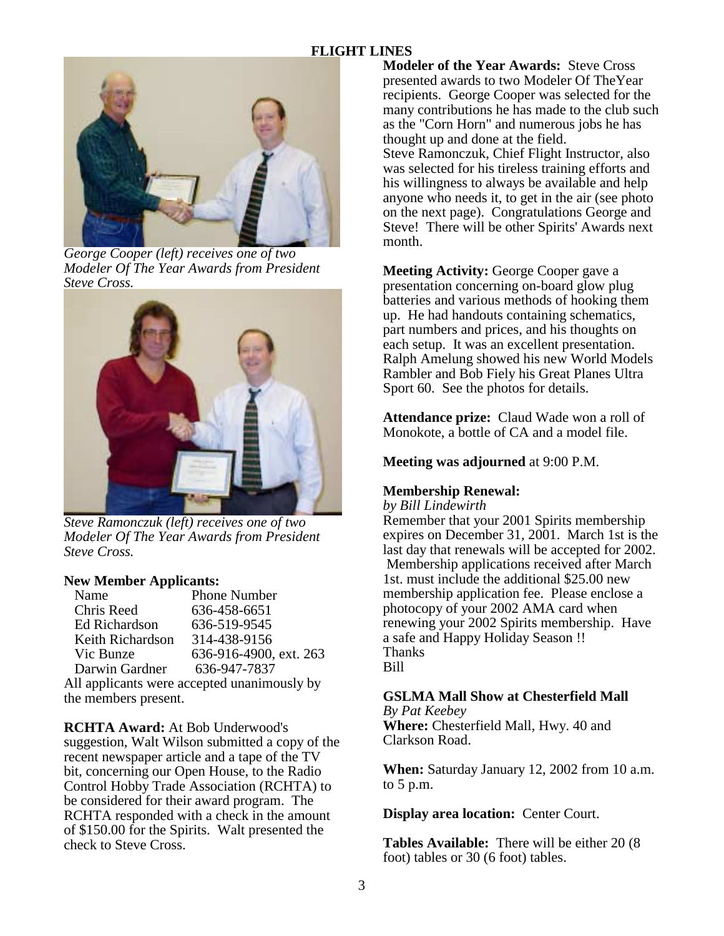# **FLIGHT LINES**



*George Cooper (left) receives one of two Modeler Of The Year Awards from President Steve Cross.* 



*Steve Ramonczuk (left) receives one of two Modeler Of The Year Awards from President Steve Cross.* 

#### **New Member Applicants:**

| Name                                        | <b>Phone Number</b>    |  |
|---------------------------------------------|------------------------|--|
| Chris Reed                                  | 636-458-6651           |  |
| <b>Ed Richardson</b>                        | 636-519-9545           |  |
| Keith Richardson                            | 314-438-9156           |  |
| Vic Bunze                                   | 636-916-4900, ext. 263 |  |
| Darwin Gardner                              | 636-947-7837           |  |
| All applicants were accepted unanimously by |                        |  |
| the members present.                        |                        |  |

**RCHTA Award:** At Bob Underwood's suggestion, Walt Wilson submitted a copy of the recent newspaper article and a tape of the TV bit, concerning our Open House, to the Radio Control Hobby Trade Association (RCHTA) to be considered for their award program. The RCHTA responded with a check in the amount of \$150.00 for the Spirits. Walt presented the check to Steve Cross.

**Modeler of the Year Awards:** Steve Cross presented awards to two Modeler Of TheYear recipients. George Cooper was selected for the many contributions he has made to the club such as the "Corn Horn" and numerous jobs he has thought up and done at the field. Steve Ramonczuk, Chief Flight Instructor, also was selected for his tireless training efforts and his willingness to always be available and help anyone who needs it, to get in the air (see photo on the next page). Congratulations George and Steve! There will be other Spirits' Awards next month.

**Meeting Activity:** George Cooper gave a presentation concerning on-board glow plug batteries and various methods of hooking them up. He had handouts containing schematics, part numbers and prices, and his thoughts on each setup. It was an excellent presentation. Ralph Amelung showed his new World Models Rambler and Bob Fiely his Great Planes Ultra Sport 60. See the photos for details.

**Attendance prize:** Claud Wade won a roll of Monokote, a bottle of CA and a model file.

**Meeting was adjourned** at 9:00 P.M.

## **Membership Renewal:**

*by Bill Lindewirth*

Remember that your 2001 Spirits membership expires on December 31, 2001. March 1st is the last day that renewals will be accepted for 2002. Membership applications received after March 1st. must include the additional \$25.00 new membership application fee. Please enclose a photocopy of your 2002 AMA card when renewing your 2002 Spirits membership. Have a safe and Happy Holiday Season !! Thanks Bill

# **GSLMA Mall Show at Chesterfield Mall**

*By Pat Keebey* **Where:** Chesterfield Mall, Hwy. 40 and Clarkson Road.

**When:** Saturday January 12, 2002 from 10 a.m. to 5 p.m.

**Display area location:** Center Court.

**Tables Available:** There will be either 20 (8 foot) tables or 30 (6 foot) tables.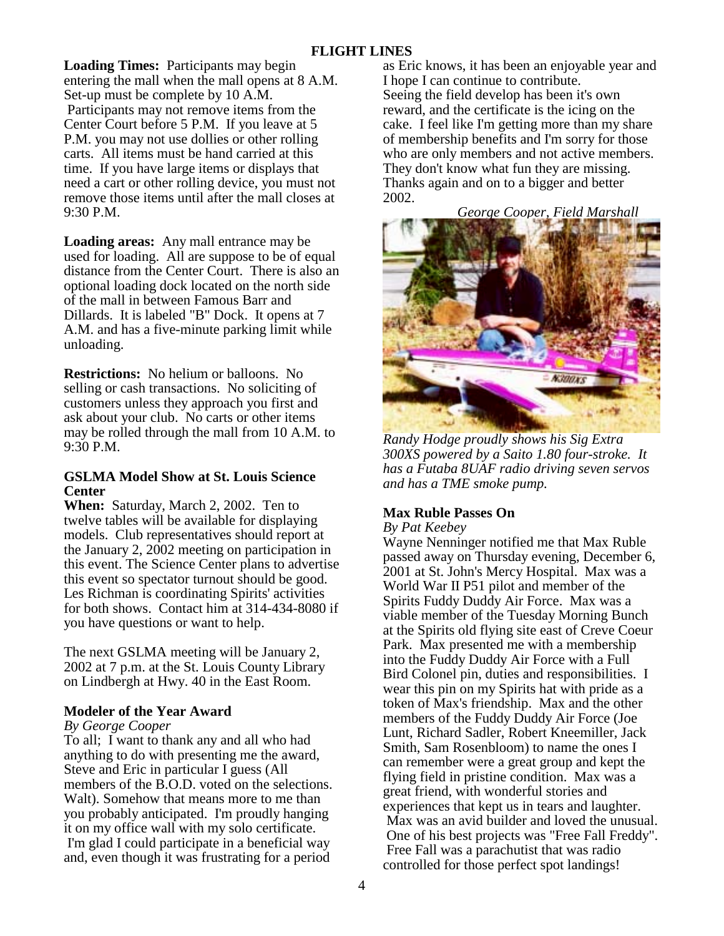**Loading Times:** Participants may begin entering the mall when the mall opens at 8 A.M. Set-up must be complete by 10 A.M. Participants may not remove items from the Center Court before 5 P.M. If you leave at 5 P.M. you may not use dollies or other rolling carts. All items must be hand carried at this time. If you have large items or displays that need a cart or other rolling device, you must not remove those items until after the mall closes at 9:30 P.M.

**Loading areas:** Any mall entrance may be used for loading. All are suppose to be of equal distance from the Center Court. There is also an optional loading dock located on the north side of the mall in between Famous Barr and Dillards. It is labeled "B" Dock. It opens at 7 A.M. and has a five-minute parking limit while unloading.

**Restrictions:** No helium or balloons. No selling or cash transactions. No soliciting of customers unless they approach you first and ask about your club. No carts or other items may be rolled through the mall from 10 A.M. to 9:30 P.M.

#### **GSLMA Model Show at St. Louis Science Center**

**When:** Saturday, March 2, 2002. Ten to twelve tables will be available for displaying models. Club representatives should report at the January 2, 2002 meeting on participation in this event. The Science Center plans to advertise this event so spectator turnout should be good. Les Richman is coordinating Spirits' activities for both shows. Contact him at 314-434-8080 if you have questions or want to help.

The next GSLMA meeting will be January 2, 2002 at 7 p.m. at the St. Louis County Library on Lindbergh at Hwy. 40 in the East Room.

## **Modeler of the Year Award**

#### *By George Cooper*

To all; I want to thank any and all who had anything to do with presenting me the award, Steve and Eric in particular I guess (All members of the B.O.D. voted on the selections. Walt). Somehow that means more to me than you probably anticipated. I'm proudly hanging it on my office wall with my solo certificate. I'm glad I could participate in a beneficial way and, even though it was frustrating for a period

as Eric knows, it has been an enjoyable year and I hope I can continue to contribute. Seeing the field develop has been it's own reward, and the certificate is the icing on the cake. I feel like I'm getting more than my share of membership benefits and I'm sorry for those who are only members and not active members. They don't know what fun they are missing. Thanks again and on to a bigger and better 2002.

*George Cooper, Field Marshall*



*Randy Hodge proudly shows his Sig Extra 300XS powered by a Saito 1.80 four-stroke. It has a Futaba 8UAF radio driving seven servos and has a TME smoke pump.* 

## **Max Ruble Passes On**

*By Pat Keebey*

Wayne Nenninger notified me that Max Ruble passed away on Thursday evening, December 6, 2001 at St. John's Mercy Hospital. Max was a World War II P51 pilot and member of the Spirits Fuddy Duddy Air Force. Max was a viable member of the Tuesday Morning Bunch at the Spirits old flying site east of Creve Coeur Park. Max presented me with a membership into the Fuddy Duddy Air Force with a Full Bird Colonel pin, duties and responsibilities. I wear this pin on my Spirits hat with pride as a token of Max's friendship. Max and the other members of the Fuddy Duddy Air Force (Joe Lunt, Richard Sadler, Robert Kneemiller, Jack Smith, Sam Rosenbloom) to name the ones I can remember were a great group and kept the flying field in pristine condition. Max was a great friend, with wonderful stories and experiences that kept us in tears and laughter. Max was an avid builder and loved the unusual. One of his best projects was "Free Fall Freddy". Free Fall was a parachutist that was radio controlled for those perfect spot landings!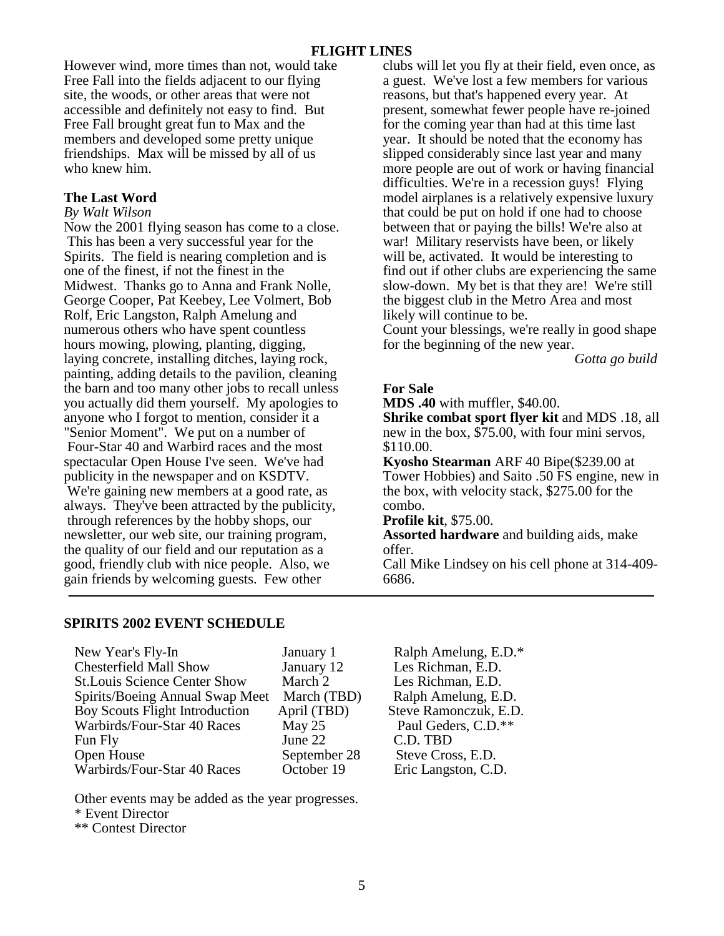However wind, more times than not, would take Free Fall into the fields adjacent to our flying site, the woods, or other areas that were not accessible and definitely not easy to find. But Free Fall brought great fun to Max and the members and developed some pretty unique friendships. Max will be missed by all of us who knew him.

## **The Last Word**

#### *By Walt Wilson*

Now the 2001 flying season has come to a close. This has been a very successful year for the Spirits. The field is nearing completion and is one of the finest, if not the finest in the Midwest. Thanks go to Anna and Frank Nolle, George Cooper, Pat Keebey, Lee Volmert, Bob Rolf, Eric Langston, Ralph Amelung and numerous others who have spent countless hours mowing, plowing, planting, digging, laying concrete, installing ditches, laying rock, painting, adding details to the pavilion, cleaning the barn and too many other jobs to recall unless you actually did them yourself. My apologies to anyone who I forgot to mention, consider it a "Senior Moment". We put on a number of Four-Star 40 and Warbird races and the most spectacular Open House I've seen. We've had publicity in the newspaper and on KSDTV. We're gaining new members at a good rate, as always. They've been attracted by the publicity, through references by the hobby shops, our newsletter, our web site, our training program, the quality of our field and our reputation as a good, friendly club with nice people. Also, we gain friends by welcoming guests. Few other

clubs will let you fly at their field, even once, as a guest. We've lost a few members for various reasons, but that's happened every year. At present, somewhat fewer people have re-joined for the coming year than had at this time last year. It should be noted that the economy has slipped considerably since last year and many more people are out of work or having financial difficulties. We're in a recession guys! Flying model airplanes is a relatively expensive luxury that could be put on hold if one had to choose between that or paying the bills! We're also at war! Military reservists have been, or likely will be, activated. It would be interesting to find out if other clubs are experiencing the same slow-down. My bet is that they are! We're still the biggest club in the Metro Area and most likely will continue to be.

Count your blessings, we're really in good shape for the beginning of the new year.

*Gotta go build* 

# **For Sale**

**MDS .40** with muffler, \$40.00.

**Shrike combat sport flyer kit** and MDS .18, all new in the box, \$75.00, with four mini servos, \$110.00.

**Kyosho Stearman** ARF 40 Bipe(\$239.00 at Tower Hobbies) and Saito .50 FS engine, new in the box, with velocity stack, \$275.00 for the combo.

**Profile kit**, \$75.00.

**Assorted hardware** and building aids, make offer.

Call Mike Lindsey on his cell phone at 314-409- 6686.

## **SPIRITS 2002 EVENT SCHEDULE**

| New Year's Fly-In                   | January 1    |
|-------------------------------------|--------------|
| <b>Chesterfield Mall Show</b>       | January 12   |
| <b>St.Louis Science Center Show</b> | March 2      |
| Spirits/Boeing Annual Swap Meet     | March (TBD)  |
| Boy Scouts Flight Introduction      | April (TBD)  |
| Warbirds/Four-Star 40 Races         | May $25$     |
| Fun Fly                             | June 22      |
| Open House                          | September 28 |
| Warbirds/Four-Star 40 Races         | October 19   |

Les Richman, E.D. Les Richman, E.D.  $B$  Ralph Amelung, E.D. Steve Ramonczuk, E.D. Paul Geders, C.D.\*\* C.D. TBD<br>
Steve Cros Steve Cross, E.D. October 19 Eric Langston, C.D.

Ralph Amelung, E.D.\*

Other events may be added as the year progresses.

\* Event Director

\*\* Contest Director